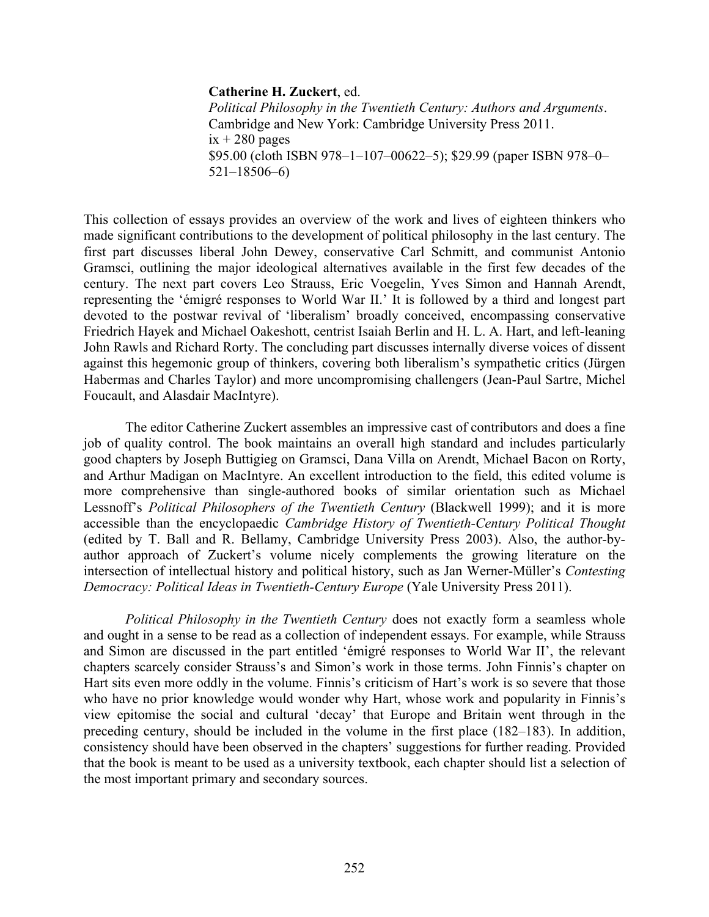## **Catherine H. Zuckert**, ed.

*Political Philosophy in the Twentieth Century: Authors and Arguments*. Cambridge and New York: Cambridge University Press 2011.  $ix + 280$  pages \$95.00 (cloth ISBN 978–1–107–00622–5); \$29.99 (paper ISBN 978–0– 521–18506–6)

This collection of essays provides an overview of the work and lives of eighteen thinkers who made significant contributions to the development of political philosophy in the last century. The first part discusses liberal John Dewey, conservative Carl Schmitt, and communist Antonio Gramsci, outlining the major ideological alternatives available in the first few decades of the century. The next part covers Leo Strauss, Eric Voegelin, Yves Simon and Hannah Arendt, representing the 'émigré responses to World War II.' It is followed by a third and longest part devoted to the postwar revival of 'liberalism' broadly conceived, encompassing conservative Friedrich Hayek and Michael Oakeshott, centrist Isaiah Berlin and H. L. A. Hart, and left-leaning John Rawls and Richard Rorty. The concluding part discusses internally diverse voices of dissent against this hegemonic group of thinkers, covering both liberalism's sympathetic critics (Jürgen Habermas and Charles Taylor) and more uncompromising challengers (Jean-Paul Sartre, Michel Foucault, and Alasdair MacIntyre).

The editor Catherine Zuckert assembles an impressive cast of contributors and does a fine job of quality control. The book maintains an overall high standard and includes particularly good chapters by Joseph Buttigieg on Gramsci, Dana Villa on Arendt, Michael Bacon on Rorty, and Arthur Madigan on MacIntyre. An excellent introduction to the field, this edited volume is more comprehensive than single-authored books of similar orientation such as Michael Lessnoff's *Political Philosophers of the Twentieth Century* (Blackwell 1999); and it is more accessible than the encyclopaedic *Cambridge History of Twentieth-Century Political Thought* (edited by T. Ball and R. Bellamy, Cambridge University Press 2003). Also, the author-byauthor approach of Zuckert's volume nicely complements the growing literature on the intersection of intellectual history and political history, such as Jan Werner-Müller's *Contesting Democracy: Political Ideas in Twentieth-Century Europe* (Yale University Press 2011).

*Political Philosophy in the Twentieth Century* does not exactly form a seamless whole and ought in a sense to be read as a collection of independent essays. For example, while Strauss and Simon are discussed in the part entitled 'émigré responses to World War II', the relevant chapters scarcely consider Strauss's and Simon's work in those terms. John Finnis's chapter on Hart sits even more oddly in the volume. Finnis's criticism of Hart's work is so severe that those who have no prior knowledge would wonder why Hart, whose work and popularity in Finnis's view epitomise the social and cultural 'decay' that Europe and Britain went through in the preceding century, should be included in the volume in the first place (182–183). In addition, consistency should have been observed in the chapters' suggestions for further reading. Provided that the book is meant to be used as a university textbook, each chapter should list a selection of the most important primary and secondary sources.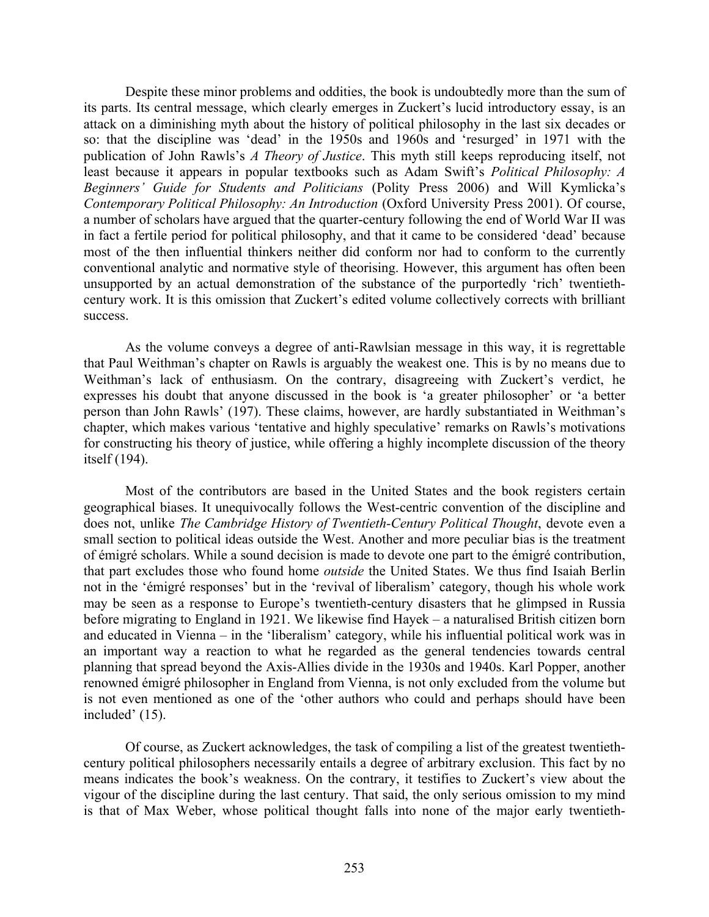Despite these minor problems and oddities, the book is undoubtedly more than the sum of its parts. Its central message, which clearly emerges in Zuckert's lucid introductory essay, is an attack on a diminishing myth about the history of political philosophy in the last six decades or so: that the discipline was 'dead' in the 1950s and 1960s and 'resurged' in 1971 with the publication of John Rawls's *A Theory of Justice*. This myth still keeps reproducing itself, not least because it appears in popular textbooks such as Adam Swift's *Political Philosophy: A Beginners' Guide for Students and Politicians* (Polity Press 2006) and Will Kymlicka's *Contemporary Political Philosophy: An Introduction* (Oxford University Press 2001). Of course, a number of scholars have argued that the quarter-century following the end of World War II was in fact a fertile period for political philosophy, and that it came to be considered 'dead' because most of the then influential thinkers neither did conform nor had to conform to the currently conventional analytic and normative style of theorising. However, this argument has often been unsupported by an actual demonstration of the substance of the purportedly 'rich' twentiethcentury work. It is this omission that Zuckert's edited volume collectively corrects with brilliant success.

As the volume conveys a degree of anti-Rawlsian message in this way, it is regrettable that Paul Weithman's chapter on Rawls is arguably the weakest one. This is by no means due to Weithman's lack of enthusiasm. On the contrary, disagreeing with Zuckert's verdict, he expresses his doubt that anyone discussed in the book is 'a greater philosopher' or 'a better person than John Rawls' (197). These claims, however, are hardly substantiated in Weithman's chapter, which makes various 'tentative and highly speculative' remarks on Rawls's motivations for constructing his theory of justice, while offering a highly incomplete discussion of the theory itself (194).

Most of the contributors are based in the United States and the book registers certain geographical biases. It unequivocally follows the West-centric convention of the discipline and does not, unlike *The Cambridge History of Twentieth-Century Political Thought*, devote even a small section to political ideas outside the West. Another and more peculiar bias is the treatment of émigré scholars. While a sound decision is made to devote one part to the émigré contribution, that part excludes those who found home *outside* the United States. We thus find Isaiah Berlin not in the 'émigré responses' but in the 'revival of liberalism' category, though his whole work may be seen as a response to Europe's twentieth-century disasters that he glimpsed in Russia before migrating to England in 1921. We likewise find Hayek – a naturalised British citizen born and educated in Vienna – in the 'liberalism' category, while his influential political work was in an important way a reaction to what he regarded as the general tendencies towards central planning that spread beyond the Axis-Allies divide in the 1930s and 1940s. Karl Popper, another renowned émigré philosopher in England from Vienna, is not only excluded from the volume but is not even mentioned as one of the 'other authors who could and perhaps should have been included' (15).

Of course, as Zuckert acknowledges, the task of compiling a list of the greatest twentiethcentury political philosophers necessarily entails a degree of arbitrary exclusion. This fact by no means indicates the book's weakness. On the contrary, it testifies to Zuckert's view about the vigour of the discipline during the last century. That said, the only serious omission to my mind is that of Max Weber, whose political thought falls into none of the major early twentieth-